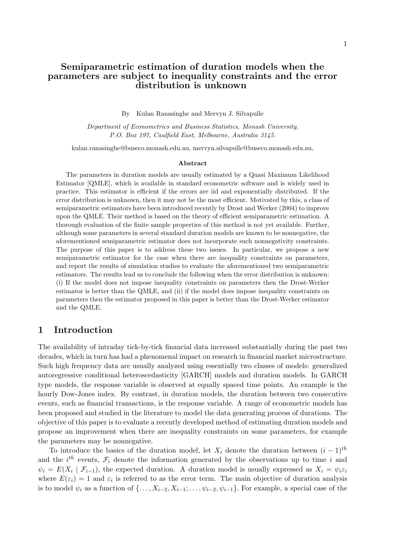# Semiparametric estimation of duration models when the parameters are subject to inequality constraints and the error distribution is unknown

#### By Kulan Ranasinghe and Mervyn J. Silvapulle

Department of Econometrics and Business Statistics, Monash University, P.O. Box 197, Caulfield East, Melbourne, Australia 3145.

kulan.ranasinghe@buseco.monash.edu.au, mervyn.silvapulle@buseco.monash.edu.au,

#### Abstract

The parameters in duration models are usually estimated by a Quasi Maximum Likelihood Estimator [QMLE], which is available in standard econometric software and is widely used in practice. This estimator is efficient if the errors are iid and exponentially distributed. If the error distribution is unknown, then it may not be the most efficient. Motivated by this, a class of semiparametric estimators have been introduced recently by Drost and Werker (2004) to improve upon the QMLE. Their method is based on the theory of efficient semiparametric estimation. A thorough evaluation of the finite sample properties of this method is not yet available. Further, although some parameters in several standard duration models are known to be nonnegative, the aforementioned semiparametric estimator does not incorporate such nonnegativity constraints. The purpose of this paper is to address these two issues. In particular, we propose a new semiparametric estimator for the case when there are inequality constraints on parameters, and report the results of simulation studies to evaluate the aforementioned two semiparametric estimators. The results lead us to conclude the following when the error distribution is unknown: (i) If the model does not impose inequality constraints on parameters then the Drost-Werker estimator is better than the QMLE, and (ii) if the model does impose inequality constraints on parameters then the estimator proposed in this paper is better than the Drost-Werker estimator and the QMLE.

# 1 Introduction

The availability of intraday tick-by-tick financial data increased substantially during the past two decades, which in turn has had a phenomenal impact on research in financial market microstructure. Such high frequency data are usually analyzed using essentially two classes of models: generalized autoregressive conditional heteroscedasticity [GARCH] models and duration models. In GARCH type models, the response variable is observed at equally spaced time points. An example is the hourly Dow-Jones index. By contrast, in duration models, the duration between two consecutive events, such as financial transactions, is the response variable. A range of econometric models has been proposed and studied in the literature to model the data generating process of durations. The objective of this paper is to evaluate a recently developed method of estimating duration models and propose an improvement when there are inequality constraints on some parameters, for example the parameters may be nonnegative.

To introduce the basics of the duration model, let  $X_i$  denote the duration between  $(i - 1)<sup>th</sup>$ and the  $i^{th}$  events,  $\mathcal{F}_i$  denote the information generated by the observations up to time i and  $\psi_i = E(X_i \mid \mathcal{F}_{i-1}),$  the expected duration. A duration model is usually expressed as  $X_i = \psi_i \varepsilon_i$ where  $E(\varepsilon_i) = 1$  and  $\varepsilon_i$  is referred to as the error term. The main objective of duration analysis is to model  $\psi_i$  as a function of  $\{\ldots, X_{i-2}, X_{i-1}; \ldots, \psi_{i-2}, \psi_{i-1}\}.$  For example, a special case of the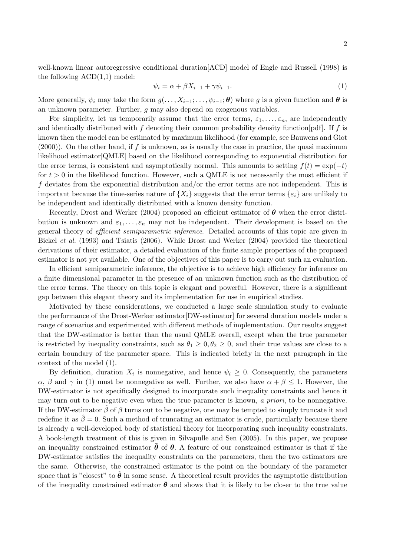well-known linear autoregressive conditional duration[ACD] model of Engle and Russell (1998) is the following  $ACD(1,1)$  model:

$$
\psi_i = \alpha + \beta X_{i-1} + \gamma \psi_{i-1}.\tag{1}
$$

More generally,  $\psi_i$  may take the form  $g(\ldots, X_{i-1}; \ldots, \psi_{i-1}; \theta)$  where g is a given function and  $\theta$  is an unknown parameter. Further, g may also depend on exogenous variables.

For simplicity, let us temporarily assume that the error terms,  $\varepsilon_1, \ldots, \varepsilon_n$ , are independently and identically distributed with f denoting their common probability density function [pdf]. If f is known then the model can be estimated by maximum likelihood (for example, see Bauwens and Giot  $(2000)$ . On the other hand, if f is unknown, as is usually the case in practice, the quasi maximum likelihood estimator[QMLE] based on the likelihood corresponding to exponential distribution for the error terms, is consistent and asymptotically normal. This amounts to setting  $f(t) = \exp(-t)$ for  $t > 0$  in the likelihood function. However, such a QMLE is not necessarily the most efficient if f deviates from the exponential distribution and/or the error terms are not independent. This is important because the time-series nature of  $\{X_i\}$  suggests that the error terms  $\{\varepsilon_i\}$  are unlikely to be independent and identically distributed with a known density function.

Recently, Drost and Werker (2004) proposed an efficient estimator of  $\theta$  when the error distribution is unknown and  $\varepsilon_1, \ldots, \varepsilon_n$  may not be independent. Their development is based on the general theory of *efficient semiparametric inference*. Detailed accounts of this topic are given in Bickel et al. (1993) and Tsiatis (2006). While Drost and Werker (2004) provided the theoretical derivations of their estimator, a detailed evaluation of the finite sample properties of the proposed estimator is not yet available. One of the objectives of this paper is to carry out such an evaluation.

In efficient semiparametric inference, the objective is to achieve high efficiency for inference on a finite dimensional parameter in the presence of an unknown function such as the distribution of the error terms. The theory on this topic is elegant and powerful. However, there is a significant gap between this elegant theory and its implementation for use in empirical studies.

Motivated by these considerations, we conducted a large scale simulation study to evaluate the performance of the Drost-Werker estimator[DW-estimator] for several duration models under a range of scenarios and experimented with different methods of implementation. Our results suggest that the DW-estimator is better than the usual QMLE overall, except when the true parameter is restricted by inequality constraints, such as  $\theta_1 \geq 0, \theta_2 \geq 0$ , and their true values are close to a certain boundary of the parameter space. This is indicated briefly in the next paragraph in the context of the model (1).

By definition, duration  $X_i$  is nonnegative, and hence  $\psi_i \geq 0$ . Consequently, the parameters  $\alpha$ ,  $\beta$  and  $\gamma$  in (1) must be nonnegative as well. Further, we also have  $\alpha + \beta \leq 1$ . However, the DW-estimator is not specifically designed to incorporate such inequality constraints and hence it may turn out to be negative even when the true parameter is known, a priori, to be nonnegative. If the DW-estimator  $\hat{\beta}$  of  $\beta$  turns out to be negative, one may be tempted to simply truncate it and redefine it as  $\hat{\beta} = 0$ . Such a method of truncating an estimator is crude, particularly because there is already a well-developed body of statistical theory for incorporating such inequality constraints. A book-length treatment of this is given in Silvapulle and Sen (2005). In this paper, we propose an inequality constrained estimator  $\theta$  of  $\theta$ . A feature of our constrained estimator is that if the DW-estimator satisfies the inequality constraints on the parameters, then the two estimators are the same. Otherwise, the constrained estimator is the point on the boundary of the parameter space that is "closest" to  $\hat{\theta}$  in some sense. A theoretical result provides the asymptotic distribution of the inequality constrained estimator  $\bar{\theta}$  and shows that it is likely to be closer to the true value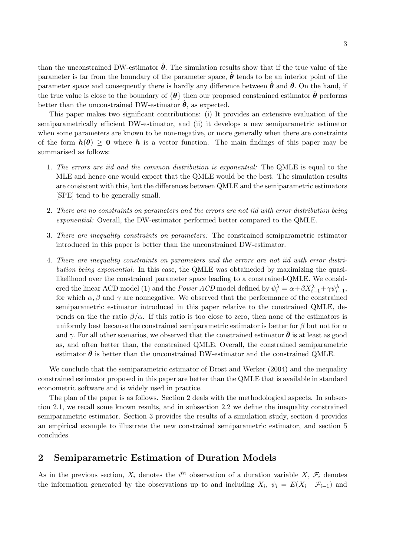than the unconstrained DW-estimator  $\hat{\theta}$ . The simulation results show that if the true value of the parameter is far from the boundary of the parameter space,  $\hat{\theta}$  tends to be an interior point of the parameter space and consequently there is hardly any difference between  $\theta$  and  $\theta$ . On the hand, if the true value is close to the boundary of  $\{\theta\}$  then our proposed constrained estimator  $\theta$  performs better than the unconstrained DW-estimator  $\hat{\theta}$ , as expected.

This paper makes two significant contributions: (i) It provides an extensive evaluation of the semiparametrically efficient DW-estimator, and (ii) it develops a new semiparametric estimator when some parameters are known to be non-negative, or more generally when there are constraints of the form  $h(\theta) \geq 0$  where h is a vector function. The main findings of this paper may be summarised as follows:

- 1. The errors are iid and the common distribution is exponential: The QMLE is equal to the MLE and hence one would expect that the QMLE would be the best. The simulation results are consistent with this, but the differences between QMLE and the semiparametric estimators [SPE] tend to be generally small.
- 2. There are no constraints on parameters and the errors are not iid with error distribution being exponential: Overall, the DW-estimator performed better compared to the QMLE.
- 3. There are inequality constraints on parameters: The constrained semiparametric estimator introduced in this paper is better than the unconstrained DW-estimator.
- 4. There are inequality constraints on parameters and the errors are not iid with error distribution being exponential: In this case, the QMLE was obtaineded by maximizing the quasilikelihood over the constrained parameter space leading to a constrained-QMLE. We considered the linear ACD model (1) and the *Power ACD* model defined by  $\psi_i^{\lambda} = \alpha + \beta X_{i-1}^{\lambda} + \gamma \psi_{i-1}^{\lambda}$ , for which  $\alpha, \beta$  and  $\gamma$  are nonnegative. We observed that the performance of the constrained semiparametric estimator introduced in this paper relative to the constrained QMLE, depends on the the ratio  $\beta/\alpha$ . If this ratio is too close to zero, then none of the estimators is uniformly best because the constrained semiparametric estimator is better for  $\beta$  but not for  $\alpha$ and  $\gamma$ . For all other scenarios, we observed that the constrained estimator  $\theta$  is at least as good as, and often better than, the constrained QMLE. Overall, the constrained semiparametric estimator  $\bar{\theta}$  is better than the unconstrained DW-estimator and the constrained QMLE.

We conclude that the semiparametric estimator of Drost and Werker (2004) and the inequality constrained estimator proposed in this paper are better than the QMLE that is available in standard econometric software and is widely used in practice.

The plan of the paper is as follows. Section 2 deals with the methodological aspects. In subsection 2.1, we recall some known results, and in subsection 2.2 we define the inequality constrained semiparametric estimator. Section 3 provides the results of a simulation study, section 4 provides an empirical example to illustrate the new constrained semiparametric estimator, and section 5 concludes.

## 2 Semiparametric Estimation of Duration Models

As in the previous section,  $X_i$  denotes the i<sup>th</sup> observation of a duration variable X,  $\mathcal{F}_i$  denotes the information generated by the observations up to and including  $X_i$ ,  $\psi_i = E(X_i | \mathcal{F}_{i-1})$  and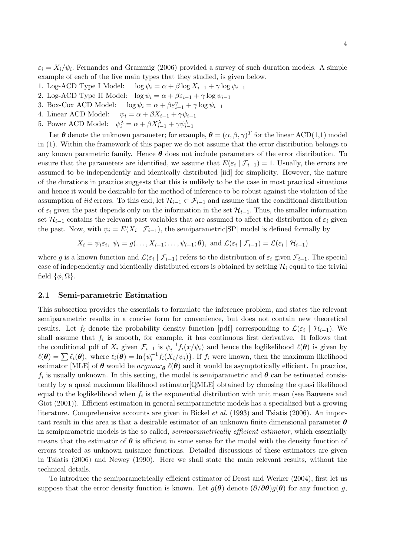4

 $\varepsilon_i = X_i/\psi_i$ . Fernandes and Grammig (2006) provided a survey of such duration models. A simple example of each of the five main types that they studied, is given below.

- 1. Log-ACD Type I Model:  $\log \psi_i = \alpha + \beta \log X_{i-1} + \gamma \log \psi_{i-1}$
- 2. Log-ACD Type II Model:  $\log \psi_i = \alpha + \beta \varepsilon_{i-1} + \gamma \log \psi_{i-1}$
- 3. Box-Cox ACD Model:  $\log \psi_i = \alpha + \beta \varepsilon_{i-1}^v + \gamma \log \psi_{i-1}$
- 4. Linear ACD Model:  $\psi_i = \alpha + \beta X_{i-1} + \gamma \psi_{i-1}$
- 5. Power ACD Model:  $\psi_i^{\lambda} = \alpha + \beta X_{i-1}^{\lambda} + \gamma \psi_{i-1}^{\lambda}$

Let  $\theta$  denote the unknown parameter; for example,  $\theta = (\alpha, \beta, \gamma)^T$  for the linear ACD(1,1) model in (1). Within the framework of this paper we do not assume that the error distribution belongs to any known parametric family. Hence  $\theta$  does not include parameters of the error distribution. To ensure that the parameters are identified, we assume that  $E(\varepsilon_i | \mathcal{F}_{i-1}) = 1$ . Usually, the errors are assumed to be independently and identically distributed [iid] for simplicity. However, the nature of the durations in practice suggests that this is unlikely to be the case in most practical situations and hence it would be desirable for the method of inference to be robust against the violation of the assumption of *iid* errors. To this end, let  $\mathcal{H}_{i-1} \subset \mathcal{F}_{i-1}$  and assume that the conditional distribution of  $\varepsilon_i$  given the past depends only on the information in the set  $\mathcal{H}_{i-1}$ . Thus, the smaller information set  $\mathcal{H}_{i-1}$  contains the relevant past variables that are assumed to affect the distribution of  $\varepsilon_i$  given the past. Now, with  $\psi_i = E(X_i \mid \mathcal{F}_{i-1})$ , the semiparametric SP model is defined formally by

$$
X_i = \psi_i \varepsilon_i, \ \psi_i = g(\ldots, X_{i-1}; \ldots, \psi_{i-1}; \boldsymbol{\theta}), \text{ and } \mathcal{L}(\varepsilon_i \mid \mathcal{F}_{i-1}) = \mathcal{L}(\varepsilon_i \mid \mathcal{H}_{i-1})
$$

where g is a known function and  $\mathcal{L}(\varepsilon_i \mid \mathcal{F}_{i-1})$  refers to the distribution of  $\varepsilon_i$  given  $\mathcal{F}_{i-1}$ . The special case of independently and identically distributed errors is obtained by setting  $\mathcal{H}_i$  equal to the trivial field  $\{\phi, \Omega\}.$ 

#### 2.1 Semi-parametric Estimation

This subsection provides the essentials to formulate the inference problem, and states the relevant semiparametric results in a concise form for convenience, but does not contain new theoretical results. Let  $f_i$  denote the probability density function [pdf] corresponding to  $\mathcal{L}(\varepsilon_i \mid \mathcal{H}_{i-1})$ . We shall assume that  $f_i$  is smooth, for example, it has continuous first derivative. It follows that the conditional pdf of  $X_i$  given  $\mathcal{F}_{i-1}$  is  $\psi_i^{-1} f_i(x/\psi_i)$  and hence the loglikelihood  $\ell(\theta)$  is given by  $\ell(\theta) = \sum \ell_i(\theta)$ , where  $\ell_i(\theta) = \ln{\{\psi_i^{-1} f_i(X_i/\psi_i)\}}$ . If  $f_i$  were known, then the maximum likelihood estimator [MLE] of  $\theta$  would be  $argmax_{\theta} \ell(\theta)$  and it would be asymptotically efficient. In practice,  $f_i$  is usually unknown. In this setting, the model is semiparametric and  $\theta$  can be estimated consistently by a quasi maximum likelihood estimator[QMLE] obtained by choosing the quasi likelihood equal to the loglikelihood when  $f_i$  is the exponential distribution with unit mean (see Bauwens and Giot  $(2001)$ ). Efficient estimation in general semiparametric models has a specialized but a growing literature. Comprehensive accounts are given in Bickel *et al.* (1993) and Tsiatis (2006). An important result in this area is that a desirable estimator of an unknown finite dimensional parameter  $\theta$ in semiparametric models is the so called, *semiparametrically efficient estimator*, which essentially means that the estimator of  $\theta$  is efficient in some sense for the model with the density function of errors treated as unknown nuisance functions. Detailed discussions of these estimators are given in Tsiatis (2006) and Newey (1990). Here we shall state the main relevant results, without the technical details.

To introduce the semiparametrically efficient estimator of Drost and Werker (2004), first let us suppose that the error density function is known. Let  $\dot{q}(\theta)$  denote  $(\partial/\partial \theta)q(\theta)$  for any function q,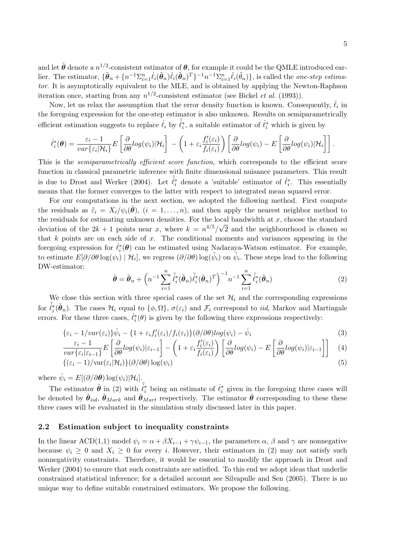and let  $\tilde{\boldsymbol{\theta}}$  denote a  $n^{1/2}$ -consistent estimator of  $\boldsymbol{\theta}$ , for example it could be the QMLE introduced earlier. The estimator,  $\{\tilde{\boldsymbol{\theta}}_n + \{n^{-1}\Sigma_{i=1}^n \dot{\ell}_i(\tilde{\boldsymbol{\theta}}_n)\dot{\ell}_i(\tilde{\boldsymbol{\theta}}_n)^T\}^{-1}n^{-1}\Sigma_{i=1}^n \dot{\ell}_i(\tilde{\theta}_n)\},$  is called the *one-step estima*tor. It is asymptotically equivalent to the MLE, and is obtained by applying the Newton-Raphson iteration once, starting from any  $n^{1/2}$ -consistent estimator (see Bickel *et al.* (1993)).

Now, let us relax the assumption that the error density function is known. Consequently,  $\dot{\ell}_i$  in the foregoing expression for the one-step estimator is also unknown. Results on semiparametrically efficient estimation suggests to replace  $\hat{\ell}_i$  by  $\tilde{\ell}_i^*$ , a suitable estimator of  $\hat{\ell}_i^*$  which is given by

$$
\dot{\ell}_{i}^{*}(\boldsymbol{\theta}) = \frac{\varepsilon_{i} - 1}{var\{\varepsilon_{i}|\mathcal{H}_{i}\}} E\left[\frac{\partial}{\partial \theta}log(\psi_{i})|\mathcal{H}_{i}\right] - \left(1 + \varepsilon_{i}\frac{f_{i}'(\varepsilon_{i})}{f_{i}(\varepsilon_{i})}\right)\left[\frac{\partial}{\partial \theta}log(\psi_{i}) - E\left[\frac{\partial}{\partial \theta}log(\psi_{i})|\mathcal{H}_{i}\right]\right].
$$

This is the *semiparametrically efficient score function*, which corresponds to the efficient score function in classical parametric inference with finite dimensional nuisance parameters. This result is due to Drost and Werker (2004). Let  $\tilde{\ell}_i^*$  denote a 'suitable' estimator of  $\ell_i^*$ . This essentially means that the former converges to the latter with respect to integrated mean squared error.

For our computations in the next section, we adopted the following method. First compute the residuals as  $\tilde{\varepsilon}_i = X_i/\psi_i(\theta)$ ,  $(i = 1, \ldots, n)$ , and then apply the nearest neighbor method to the residuals for estimating unknown densities. For the local bandwidth at x, choose the standard deviation of the  $2k+1$  points near x, where  $k = n^{4/5}/\sqrt{2}$  and the neighbourhood is chosen so that  $k$  points are on each side of  $x$ . The conditional moments and variances appearing in the foregoing expression for  $\dot{\ell}_i^*(\theta)$  can be estimated using Nadaraya-Watson estimator. For example, to estimate  $E[\partial/\partial \theta \log(\psi_i) | \mathcal{H}_i]$ , we regress  $(\partial/\partial \theta) \log(\tilde{\psi}_i)$  on  $\tilde{\psi}_i$ . These steps lead to the following DW-estimator:

$$
\hat{\boldsymbol{\theta}} = \tilde{\boldsymbol{\theta}}_n + \left( n^{-1} \sum_{i=1}^n \tilde{\ell}_i^* (\tilde{\boldsymbol{\theta}}_n) \tilde{\ell}_i^* (\tilde{\boldsymbol{\theta}}_n)^T \right)^{-1} n^{-1} \sum_{i=1}^n \tilde{\ell}_i^* (\tilde{\boldsymbol{\theta}}_n)
$$
\n(2)

We close this section with three special cases of the set  $\mathcal{H}_i$  and the corresponding expressions for  $\tilde{\ell}_i^*(\tilde{\theta}_n)$ . The cases  $\mathcal{H}_i$  equal to  $\{\phi,\Omega\}$ ,  $\sigma(\varepsilon_i)$  and  $\mathcal{F}_i$  correspond to *iid*, Markov and Martingale errors. For these three cases,  $\dot{\ell}_i^*(\theta)$  is given by the following three expressions respectively:

{ε<sup>i</sup> − 1/var(εi)}ψ˙ <sup>i</sup> − {1 + εif 0 i (εi)/fi(εi)}(∂/∂θ)log(ψi) − ψ˙ <sup>i</sup> (3) · ¸ µ ¶ · <sup>∂</sup> · ¸¸

$$
\frac{\varepsilon_i - 1}{var\{\varepsilon_i|\varepsilon_{i-1}\}} E\left[\frac{\partial}{\partial \theta} log(\psi_i)|\varepsilon_{i-1}\right] - \left(1 + \varepsilon_i \frac{f_i'(\varepsilon_i)}{f_i(\varepsilon_i)}\right) \left[\frac{\partial}{\partial \theta} log(\psi_i) - E\left[\frac{\partial}{\partial \theta} log(\psi_i)|\varepsilon_{i-1}\right]\right] \tag{4}
$$

$$
\{(\varepsilon_i - 1)/\text{var}(\varepsilon_i | \mathcal{H}_i)\}(\partial/\partial \theta) \log(\psi_i) \tag{5}
$$

where  $\dot{\psi}_i = E[(\partial/\partial \theta) \log(\psi_i)|\mathcal{H}_i]$ .

The estimator  $\hat{\theta}$  in (2) with  $\tilde{\ell}_i^*$  being an estimate of  $\dot{\ell}_i^*$  given in the foregoing three cases will be denoted by  $\hat{\theta}_{iid}$ ,  $\hat{\theta}_{Mark}$  and  $\hat{\theta}_{Mart}$  respectively. The estimator  $\hat{\theta}$  corresponding to these these three cases will be evaluated in the simulation study discussed later in this paper.

#### 2.2 Estimation subject to inequality constraints

In the linear ACD(1,1) model  $\psi_i = \alpha + \beta X_{i-1} + \gamma \psi_{i-1}$ , the parameters  $\alpha$ ,  $\beta$  and  $\gamma$  are nonnegative because  $\psi_i \geq 0$  and  $X_i \geq 0$  for every i. However, their estimators in (2) may not satisfy such nonnegativity constraints. Therefore, it would be essential to modify the approach in Drost and Werker (2004) to ensure that such constraints are satisfied. To this end we adopt ideas that underlie constrained statistical inference; for a detailed account see Silvapulle and Sen (2005). There is no unique way to define suitable constrained estimators. We propose the following.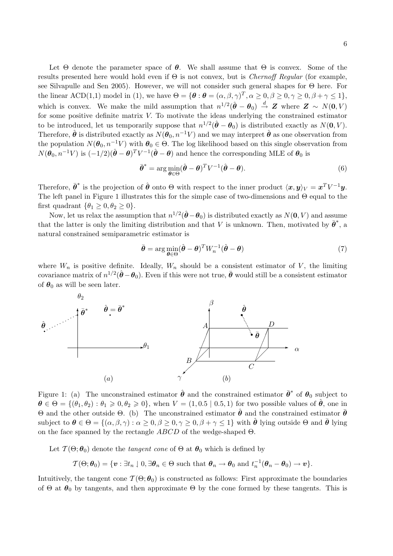Let  $\Theta$  denote the parameter space of  $\theta$ . We shall assume that  $\Theta$  is convex. Some of the results presented here would hold even if  $\Theta$  is not convex, but is *Chernoff Regular* (for example, see Silvapulle and Sen 2005). However, we will not consider such general shapes for Θ here. For the linear ACD(1,1) model in (1), we have  $\Theta = {\theta : \theta = (\alpha, \beta, \gamma)^T, \alpha \geq 0, \beta \geq 0, \gamma \geq 0, \beta + \gamma \leq 1},$ which is convex. We make the mild assumption that  $n^{1/2}(\hat{\theta}-\theta_0) \stackrel{d}{\rightarrow} Z$  where  $Z \sim N(0, V)$ for some positive definite matrix V. To motivate the ideas underlying the constrained estimator to be introduced, let us temporarily suppose that  $n^{1/2}(\hat{\theta} - \theta_0)$  is distributed exactly as  $N(\mathbf{0}, V)$ . Therefore,  $\hat{\theta}$  is distributed exactly as  $N(\theta_0, n^{-1}V)$  and we may interpret  $\hat{\theta}$  as one observation from the population  $N(\theta_0, n^{-1}V)$  with  $\theta_0 \in \Theta$ . The log likelihood based on this single observation from  $N(\theta_0, n^{-1}V)$  is  $(-1/2)(\hat{\theta} - \theta)^T V^{-1}(\hat{\theta} - \theta)$  and hence the corresponding MLE of  $\theta_0$  is

$$
\bar{\boldsymbol{\theta}}^* = \arg\min_{\boldsymbol{\theta} \in \Theta} (\hat{\boldsymbol{\theta}} - \boldsymbol{\theta})^T V^{-1} (\hat{\boldsymbol{\theta}} - \boldsymbol{\theta}). \tag{6}
$$

Therefore,  $\bar{\theta}^*$  is the projection of  $\hat{\theta}$  onto  $\Theta$  with respect to the inner product  $\langle x, y \rangle_V = x^T V^{-1} y$ . The left panel in Figure 1 illustrates this for the simple case of two-dimensions and Θ equal to the first quadrant  $\{\theta_1 \geq 0, \theta_2 \geq 0\}.$ 

Now, let us relax the assumption that  $n^{1/2}(\hat{\theta}-\theta_0)$  is distributed exactly as  $N(\mathbf{0}, V)$  and assume that the latter is only the limiting distribution and that V is unknown. Then, motivated by  $\bar{\theta}^*$ , a natural constrained semiparametric estimator is

$$
\bar{\boldsymbol{\theta}} = \arg\min_{\boldsymbol{\theta} \in \Theta} (\hat{\boldsymbol{\theta}} - \boldsymbol{\theta})^T W_n^{-1} (\hat{\boldsymbol{\theta}} - \boldsymbol{\theta})
$$
(7)

where  $W_n$  is positive definite. Ideally,  $W_n$  should be a consistent estimator of V, the limiting covariance matrix of  $n^{1/2}(\hat{\theta}-\theta_0)$ . Even if this were not true,  $\bar{\theta}$  would still be a consistent estimator of  $\theta_0$  as will be seen later.



Figure 1: (a) The unconstrained estimator  $\hat{\theta}$  and the constrained estimator  $\bar{\theta}^*$  of  $\theta_0$  subject to  $\theta \in \Theta = \{(\theta_1, \theta_2) : \theta_1 \geqslant 0, \theta_2 \geqslant 0\}$ , when  $V = (1, 0.5 \mid 0.5, 1)$  for two possible values of  $\hat{\theta}$ , one in Θ and the other outside Θ. (b) The unconstrained estimator  $\hat{\theta}$  and the constrained estimator  $\bar{\theta}$ subject to  $\theta \in \Theta = \{(\alpha, \beta, \gamma) : \alpha > 0, \beta > 0, \gamma > 0, \beta + \gamma \leq 1\}$  with  $\hat{\theta}$  lying outside  $\Theta$  and  $\bar{\theta}$  lying on the face spanned by the rectangle  $ABCD$  of the wedge-shaped  $\Theta$ .

Let  $\mathcal{T}(\Theta; \theta_0)$  denote the *tangent cone* of  $\Theta$  at  $\theta_0$  which is defined by

$$
\mathcal{T}(\Theta;\boldsymbol{\theta}_0)=\{\boldsymbol{v}:\exists t_n\mid 0,\exists \boldsymbol{\theta}_n\in\Theta\text{ such that }\boldsymbol{\theta}_n\to\boldsymbol{\theta}_0\text{ and }t_n^{-1}(\boldsymbol{\theta}_n-\boldsymbol{\theta}_0)\to\boldsymbol{v}\}.
$$

Intuitively, the tangent cone  $\mathcal{T}(\Theta; \theta_0)$  is constructed as follows: First approximate the boundaries of  $\Theta$  at  $\theta_0$  by tangents, and then approximate  $\Theta$  by the cone formed by these tangents. This is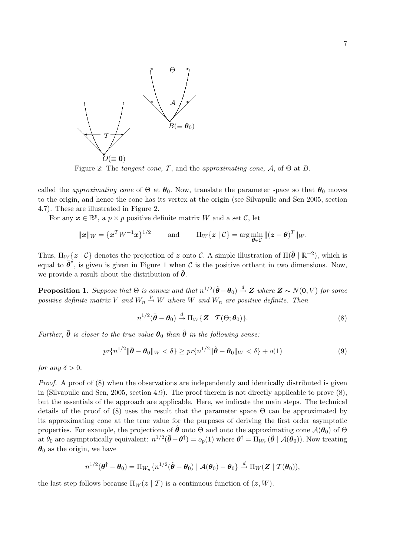

Figure 2: The tangent cone, T, and the approximating cone, A, of  $\Theta$  at B.

called the *approximating cone* of  $\Theta$  at  $\theta_0$ . Now, translate the parameter space so that  $\theta_0$  moves to the origin, and hence the cone has its vertex at the origin (see Silvapulle and Sen 2005, section 4.7). These are illustrated in Figure 2.

For any  $x \in \mathbb{R}^p$ , a  $p \times p$  positive definite matrix W and a set C, let

$$
\|\boldsymbol{x}\|_{W}=\{\boldsymbol{x}^T W^{-1}\boldsymbol{x}\}^{1/2}\qquad\text{and}\qquad\Pi_W\{\boldsymbol{z}\mid\mathcal{C}\}=\arg\min_{\boldsymbol{\theta}\in\mathcal{C}}\|(\boldsymbol{z}-\boldsymbol{\theta})^T\|_{W}.
$$

Thus,  $\Pi_W\{z \mid \mathcal{C}\}\$  denotes the projection of z onto  $\mathcal{C}$ . A simple illustration of  $\Pi(\hat{\theta} \mid \mathbb{R}^{+2})$ , which is equal to  $\bar{\theta}^*$ , is given is given in Figure 1 when C is the positive orthant in two dimensions. Now, we provide a result about the distribution of  $\theta$ .

**Proposition 1.** Suppose that  $\Theta$  is convex and that  $n^{1/2}(\hat{\theta} - \theta_0) \stackrel{d}{\rightarrow} \mathbf{Z}$  where  $\mathbf{Z} \sim N(\mathbf{0}, V)$  for some positive definite matrix V and  $W_n \stackrel{p}{\rightarrow} W$  where W and  $W_n$  are positive definite. Then

$$
n^{1/2}(\bar{\boldsymbol{\theta}} - \boldsymbol{\theta}_0) \stackrel{d}{\rightarrow} \Pi_W \{ \boldsymbol{Z} \mid \mathcal{T}(\Theta; \boldsymbol{\theta}_0) \}.
$$
 (8)

Further,  $\bar{\theta}$  is closer to the true value  $\theta_0$  than  $\hat{\theta}$  in the following sense:

$$
pr\{n^{1/2} \|\bar{\boldsymbol{\theta}} - \boldsymbol{\theta}_0\|_W < \delta\} \ge pr\{n^{1/2} \|\hat{\boldsymbol{\theta}} - \boldsymbol{\theta}_0\|_W < \delta\} + o(1)
$$
\n(9)

for any  $\delta > 0$ .

Proof. A proof of (8) when the observations are independently and identically distributed is given in (Silvapulle and Sen, 2005, section 4.9). The proof therein is not directly applicable to prove (8), but the essentials of the approach are applicable. Here, we indicate the main steps. The technical details of the proof of (8) uses the result that the parameter space  $\Theta$  can be approximated by its approximating cone at the true value for the purposes of deriving the first order asymptotic properties. For example, the projections of  $\hat{\theta}$  onto  $\Theta$  and onto the approximating cone  $\mathcal{A}(\theta_0)$  of  $\Theta$ at  $\theta_0$  are asymptotically equivalent:  $n^{1/2}(\bar{\theta}-\theta^{\dagger})=o_p(1)$  where  $\theta^{\dagger}=\Pi_{W_n}(\hat{\theta} \mid \mathcal{A}(\theta_0)).$  Now treating  $\theta_0$  as the origin, we have

$$
n^{1/2}(\boldsymbol{\theta}^{\dagger}-\boldsymbol{\theta}_0)=\Pi_{W_n}\{n^{1/2}(\hat{\boldsymbol{\theta}}-\boldsymbol{\theta}_0)\mid\mathcal{A}(\boldsymbol{\theta}_0)-\boldsymbol{\theta}_0\}\overset{d}{\to}\Pi_W(\boldsymbol{Z}\mid\mathcal{T}(\boldsymbol{\theta}_0)),
$$

the last step follows because  $\Pi_W(z | T)$  is a continuous function of  $(z, W)$ .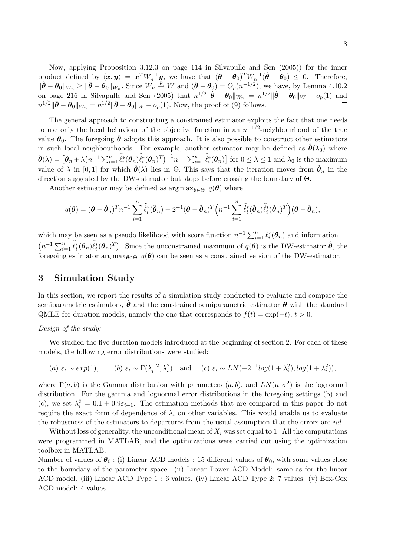Now, applying Proposition 3.12.3 on page 114 in Silvapulle and Sen (2005)) for the inner product defined by  $\langle x, y \rangle = x^T W_n^{-1} y$ , we have that  $(\bar{\theta} - \theta_0)^T W_n^{-1} (\hat{\theta} - \theta_0) \leq 0$ . Therefore,  $\|\hat{\boldsymbol{\theta}} - \boldsymbol{\theta}_0\|_{W_n} \geq \|\bar{\boldsymbol{\theta}} - \boldsymbol{\theta}_0\|_{W_n}$ . Since  $W_n \stackrel{p}{\rightarrow} W$  and  $(\hat{\boldsymbol{\theta}} - \boldsymbol{\theta}_0) = O_p(n^{-1/2})$ , we have, by Lemma 4.10.2 on page 216 in Silvapulle and Sen (2005) that  $n^{1/2}$  $\|\hat{\boldsymbol{\theta}} - \boldsymbol{\theta}_0\|_{W_n} = n^{1/2} \|\hat{\boldsymbol{\theta}} - \boldsymbol{\theta}_0\|_{W} + o_p(1)$  and  $n^{1/2}$ || $\bar{\theta} - \theta_0$ || $W_n = n^{1/2}$ || $\bar{\theta} - \theta_0$ || $W + o_p(1)$ . Now, the proof of (9) follows.  $\Box$ 

The general approach to constructing a constrained estimator exploits the fact that one needs to use only the local behaviour of the objective function in an  $n^{-1/2}$ -neighbourhood of the true value  $\theta_0$ . The foregoing  $\bar{\theta}$  adopts this approach. It is also possible to construct other estimators in such local neighbourhoods. For example, another estimator may be defined as  $\hat{\theta}(\lambda_0)$  where  $\hat{\boldsymbol{\theta}}(\lambda) = \begin{bmatrix} \tilde{\boldsymbol{\theta}}_n + \lambda \end{bmatrix}$ ¡  $n^{-1} \sum_{i=1}^n \tilde{\ell}_i^* (\tilde{\boldsymbol{\theta}}_n) \tilde{\ell}_i^* (\tilde{\boldsymbol{\theta}}_n)^T \big)^{-1} n^{-1} \sum_{i=1}^n \tilde{\ell}_i^* (\tilde{\boldsymbol{\theta}}_n)$ .⊥<br> for  $0 \leq \lambda \leq 1$  and  $\lambda_0$  is the maximum value of  $\lambda$  in [0, 1] for which  $\hat{\boldsymbol{\theta}}(\lambda)$  lies in  $\Theta$ . This says that the iteration moves from  $\tilde{\boldsymbol{\theta}}_n$  in the direction suggested by the DW-estimator but stops before crossing the boundary of Θ.

Another estimator may be defined as  $\arg \max_{\theta \in \Theta} q(\theta)$  where

$$
q(\boldsymbol{\theta}) = (\boldsymbol{\theta} - \tilde{\boldsymbol{\theta}}_n)^T n^{-1} \sum_{i=1}^n \tilde{\ell}_i^*(\tilde{\boldsymbol{\theta}}_n) - 2^{-1} (\boldsymbol{\theta} - \tilde{\boldsymbol{\theta}}_n)^T \Big( n^{-1} \sum_{i=1}^n \tilde{\ell}_i^*(\tilde{\boldsymbol{\theta}}_n) \tilde{\ell}_i^*(\tilde{\boldsymbol{\theta}}_n)^T \Big) (\boldsymbol{\theta} - \tilde{\boldsymbol{\theta}}_n),
$$

which may be seen as a pseudo likelihood with score function  $n^{-1} \sum_{i=1}^{n} \tilde{\ell}_i^*(\tilde{\theta}_n)$  and information  $(1-\sum_{i=1}^{n} \tilde{\ell}_i^*(\tilde{\theta}_n) - \tilde{\ell}_i^*(\tilde{\theta}_n))^2$  $n^{-1} \sum_{i=1}^n \tilde{\ell}_i^*(\tilde{\theta}_n) \tilde{\ell}_i^*(\tilde{\theta}_n)^T$ . Since the unconstrained maximum of  $q(\theta)$  is the DW-estimator  $\hat{\theta}$ , the foregoing estimator arg max $_{\theta \in \Theta}$  q( $\theta$ ) can be seen as a constrained version of the DW-estimator.

## 3 Simulation Study

In this section, we report the results of a simulation study conducted to evaluate and compare the semiparametric estimators,  $\theta$  and the constrained semiparametric estimator  $\theta$  with the standard QMLE for duration models, namely the one that corresponds to  $f(t) = \exp(-t)$ ,  $t > 0$ .

#### Design of the study:

We studied the five duration models introduced at the beginning of section 2. For each of these models, the following error distributions were studied:

(a) 
$$
\varepsilon_i \sim exp(1)
$$
, (b)  $\varepsilon_i \sim \Gamma(\lambda_i^{-2}, \lambda_i^2)$  and (c)  $\varepsilon_i \sim LN(-2^{-1}log(1 + \lambda_i^2), log(1 + \lambda_i^2))$ ,

where  $\Gamma(a, b)$  is the Gamma distribution with parameters  $(a, b)$ , and  $LN(\mu, \sigma^2)$  is the lognormal distribution. For the gamma and lognormal error distributions in the foregoing settings (b) and (c), we set  $\lambda_i^2 = 0.1 + 0.9\varepsilon_{i-1}$ . The estimation methods that are compared in this paper do not require the exact form of dependence of  $\lambda_i$  on other variables. This would enable us to evaluate the robustness of the estimators to departures from the usual assumption that the errors are *iid*.

Without loss of generality, the unconditional mean of  $X_i$  was set equal to 1. All the computations were programmed in MATLAB, and the optimizations were carried out using the optimization toolbox in MATLAB.

Number of values of  $\theta_0$ : (i) Linear ACD models : 15 different values of  $\theta_0$ , with some values close to the boundary of the parameter space. (ii) Linear Power ACD Model: same as for the linear ACD model. (iii) Linear ACD Type 1 : 6 values. (iv) Linear ACD Type 2: 7 values. (v) Box-Cox ACD model: 4 values.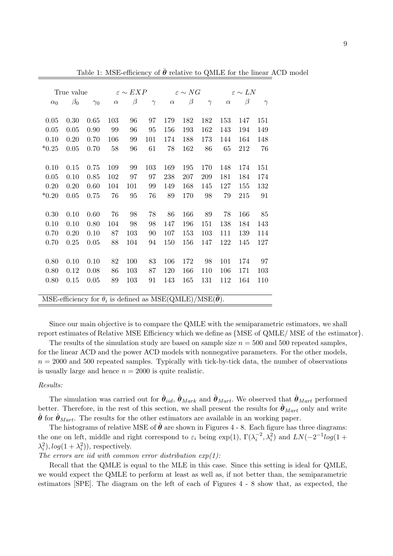| True value |                                                                              | $\varepsilon \sim EXP$ |          |         | $\varepsilon \sim NG$ |          | $\varepsilon \sim LN$ |          |          |         |          |
|------------|------------------------------------------------------------------------------|------------------------|----------|---------|-----------------------|----------|-----------------------|----------|----------|---------|----------|
| $\alpha_0$ | $\beta_0$                                                                    | $\gamma_0$             | $\alpha$ | $\beta$ | $\gamma$              | $\alpha$ | $\beta$               | $\gamma$ | $\alpha$ | $\beta$ | $\gamma$ |
|            |                                                                              |                        |          |         |                       |          |                       |          |          |         |          |
| 0.05       | 0.30                                                                         | 0.65                   | 103      | 96      | 97                    | 179      | 182                   | 182      | 153      | 147     | 151      |
| 0.05       | 0.05                                                                         | 0.90                   | 99       | 96      | 95                    | 156      | 193                   | 162      | 143      | 194     | 149      |
| 0.10       | 0.20                                                                         | 0.70                   | 106      | 99      | 101                   | 174      | 188                   | 173      | 144      | 164     | 148      |
| $*0.25$    | 0.05                                                                         | 0.70                   | 58       | 96      | 61                    | 78       | 162                   | 86       | 65       | 212     | 76       |
|            |                                                                              |                        |          |         |                       |          |                       |          |          |         |          |
| 0.10       | 0.15                                                                         | 0.75                   | 109      | 99      | 103                   | 169      | 195                   | 170      | 148      | 174     | 151      |
| 0.05       | 0.10                                                                         | 0.85                   | 102      | 97      | 97                    | 238      | 207                   | 209      | 181      | 184     | 174      |
| 0.20       | 0.20                                                                         | 0.60                   | 104      | 101     | 99                    | 149      | 168                   | 145      | 127      | 155     | 132      |
| $*0.20$    | 0.05                                                                         | 0.75                   | 76       | 95      | 76                    | 89       | 170                   | 98       | 79       | 215     | 91       |
|            |                                                                              |                        |          |         |                       |          |                       |          |          |         |          |
| 0.30       | 0.10                                                                         | 0.60                   | 76       | 98      | 78                    | 86       | 166                   | 89       | 78       | 166     | 85       |
| 0.10       | 0.10                                                                         | 0.80                   | 104      | 98      | 98                    | 147      | 196                   | 151      | 138      | 184     | 143      |
| 0.70       | 0.20                                                                         | 0.10                   | 87       | 103     | 90                    | 107      | 153                   | 103      | 111      | 139     | 114      |
| 0.70       | 0.25                                                                         | 0.05                   | 88       | 104     | 94                    | 150      | 156                   | 147      | 122      | 145     | 127      |
|            |                                                                              |                        |          |         |                       |          |                       |          |          |         |          |
| 0.80       | 0.10                                                                         | 0.10                   | 82       | 100     | 83                    | 106      | 172                   | 98       | 101      | 174     | 97       |
| 0.80       | 0.12                                                                         | 0.08                   | 86       | 103     | 87                    | 120      | 166                   | 110      | 106      | 171     | 103      |
| 0.80       | 0.15                                                                         | 0.05                   | 89       | 103     | 91                    | 143      | 165                   | 131      | 112      | 164     | 110      |
|            |                                                                              |                        |          |         |                       |          |                       |          |          |         |          |
|            | MSE-efficiency for $\theta_i$ is defined as MSE(QMLE)/MSE( $\bar{\theta}$ ). |                        |          |         |                       |          |                       |          |          |         |          |
|            |                                                                              |                        |          |         |                       |          |                       |          |          |         |          |

Table 1: MSE-efficiency of  $\bar{\theta}$  relative to QMLE for the linear ACD model

Since our main objective is to compare the QMLE with the semiparametric estimators, we shall report estimates of Relative MSE Efficiency which we define as {MSE of QMLE/ MSE of the estimator}.

The results of the simulation study are based on sample size  $n = 500$  and 500 repeated samples, for the linear ACD and the power ACD models with nonnegative parameters. For the other models,  $n = 2000$  and 500 repeated samples. Typically with tick-by-tick data, the number of observations is usually large and hence  $n = 2000$  is quite realistic.

#### Results:

The simulation was carried out for  $\hat{\theta}_{iid}$ ,  $\hat{\theta}_{Mark}$  and  $\hat{\theta}_{Mart}$ . We observed that  $\hat{\theta}_{Mart}$  performed better. Therefore, in the rest of this section, we shall present the results for  $\hat{\theta}_{Mart}$  only and write  $\hat{\theta}$  for  $\hat{\theta}_{Mart}$ . The results for the other estimators are available in an working paper.

The histograms of relative MSE of  $\hat{\theta}$  are shown in Figures 4 - 8. Each figure has three diagrams: the one on left, middle and right correspond to  $\varepsilon_i$  being  $\exp(1)$ ,  $\Gamma(\lambda_i^{-2}, \lambda_i^2)$  and  $LN(-2^{-1}log(1 +$  $\lambda_i^2$ ,  $log(1 + \lambda_i^2)$ , respectively.

The errors are iid with common error distribution  $exp(1)$ :

Recall that the QMLE is equal to the MLE in this case. Since this setting is ideal for QMLE, we would expect the QMLE to perform at least as well as, if not better than, the semiparametric estimators [SPE]. The diagram on the left of each of Figures 4 - 8 show that, as expected, the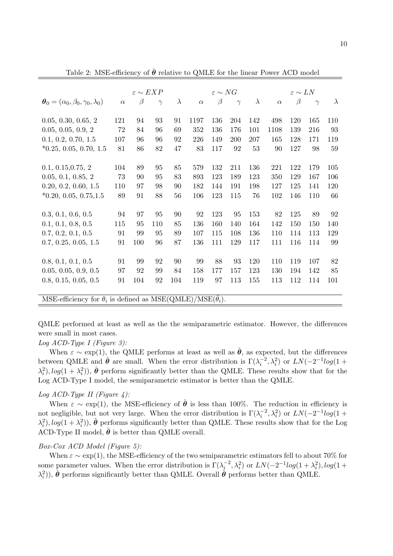|                                                                                | $\varepsilon \sim NG$<br>$\varepsilon \sim EXP$<br>$\varepsilon \sim LN$ |         |          |           |          |         |          |           |          |         |          |           |
|--------------------------------------------------------------------------------|--------------------------------------------------------------------------|---------|----------|-----------|----------|---------|----------|-----------|----------|---------|----------|-----------|
| $\boldsymbol{\theta}_0 = (\alpha_0, \beta_0, \gamma_0, \lambda_0)$             | $\alpha$                                                                 | $\beta$ | $\gamma$ | $\lambda$ | $\alpha$ | $\beta$ | $\gamma$ | $\lambda$ | $\alpha$ | $\beta$ | $\gamma$ | $\lambda$ |
| 0.05, 0.30, 0.65, 2                                                            | 121                                                                      | 94      | 93       | 91        | 1197     | 136     | 204      | 142       | 498      | 120     | 165      | 110       |
|                                                                                |                                                                          |         |          |           |          |         |          |           |          |         |          |           |
| 0.05, 0.05, 0.9, 2                                                             | 72                                                                       | 84      | 96       | 69        | 352      | 136     | 176      | 101       | 1108     | 139     | 216      | 93        |
| 0.1, 0.2, 0.70, 1.5                                                            | 107                                                                      | 96      | 96       | 92        | 226      | 149     | 200      | 207       | 165      | 128     | 171      | 119       |
| $*0.25, 0.05, 0.70, 1.5$                                                       | 81                                                                       | 86      | 82       | 47        | 83       | 117     | 92       | 53        | 90       | 127     | 98       | 59        |
|                                                                                |                                                                          |         |          |           |          |         |          |           |          |         |          |           |
| 0.1, 0.15, 0.75, 2                                                             | 104                                                                      | 89      | 95       | 85        | 579      | 132     | 211      | 136       | 221      | 122     | 179      | 105       |
| 0.05, 0.1, 0.85, 2                                                             | 73                                                                       | 90      | 95       | 83        | 893      | 123     | 189      | 123       | 350      | 129     | 167      | 106       |
| 0.20, 0.2, 0.60, 1.5                                                           | 110                                                                      | 97      | 98       | 90        | 182      | 144     | 191      | 198       | 127      | 125     | 141      | 120       |
| $*0.20, 0.05, 0.75, 1.5$                                                       | 89                                                                       | 91      | 88       | 56        | 106      | 123     | 115      | 76        | 102      | 146     | 110      | 66        |
|                                                                                |                                                                          |         |          |           |          |         |          |           |          |         |          |           |
| 0.3, 0.1, 0.6, 0.5                                                             | 94                                                                       | 97      | 95       | 90        | 92       | 123     | 95       | 153       | 82       | 125     | 89       | 92        |
| 0.1, 0.1, 0.8, 0.5                                                             | 115                                                                      | 95      | 110      | 85        | 136      | 160     | 140      | 164       | 142      | 150     | 150      | 140       |
| 0.7, 0.2, 0.1, 0.5                                                             | 91                                                                       | 99      | 95       | 89        | 107      | 115     | 108      | 136       | 110      | 114     | 113      | 129       |
| 0.7, 0.25, 0.05, 1.5                                                           | 91                                                                       | 100     | 96       | 87        | 136      | 111     | 129      | 117       | 111      | 116     | 114      | 99        |
|                                                                                |                                                                          |         |          |           |          |         |          |           |          |         |          |           |
| 0.8, 0.1, 0.1, 0.5                                                             | 91                                                                       | 99      | 92       | 90        | 99       | 88      | 93       | 120       | 110      | 119     | 107      | 82        |
| 0.05, 0.05, 0.9, 0.5                                                           | 97                                                                       | 92      | 99       | 84        | 158      | 177     | 157      | 123       | 130      | 194     | 142      | 85        |
| 0.8, 0.15, 0.05, 0.5                                                           | 91                                                                       | 104     | 92       | 104       | 119      | 97      | 113      | 155       | 113      | 112     | 114      | 101       |
|                                                                                |                                                                          |         |          |           |          |         |          |           |          |         |          |           |
| MSE-efficiency for $\theta_i$ is defined as MSE(QMLE)/MSE( $\bar{\theta}_i$ ). |                                                                          |         |          |           |          |         |          |           |          |         |          |           |

Table 2: MSE-efficiency of  $\bar{\theta}$  relative to QMLE for the linear Power ACD model

QMLE performed at least as well as the the semiparametric estimator. However, the differences were small in most cases.

### $Log ACD-Type I$  (Figure 3):

When  $\varepsilon \sim \exp(1)$ , the QMLE performs at least as well as  $\hat{\theta}$ , as expected, but the differences between QMLE and  $\hat{\theta}$  are small. When the error distribution is  $\Gamma(\lambda_i^{-2}, \lambda_i^2)$  or  $LN(-2^{-1}log(1 +$  $\lambda_i^2$ ,  $log(1 + \lambda_i^2)$ ,  $\hat{\theta}$  perform significantly better than the QMLE. These results show that for the Log ACD-Type I model, the semiparametric estimator is better than the QMLE.

### Log  $ACD$ -Type II (Figure 4):

When  $\varepsilon \sim \exp(1)$ , the MSE-efficiency of  $\hat{\theta}$  is less than 100%. The reduction in efficiency is not negligible, but not very large. When the error distribution is  $\Gamma(\lambda_i^{-2}, \lambda_i^2)$  or  $LN(-2^{-1}log(1+\lambda_i))$  $\lambda_i^2$ ,  $log(1 + \lambda_i^2)$ ,  $\hat{\theta}$  performs significantly better than QMLE. These results show that for the Log ACD-Type II model,  $\hat{\theta}$  is better than QMLE overall.

### Box-Cox ACD Model (Figure 5):

When  $\varepsilon \sim \exp(1)$ , the MSE-efficiency of the two semiparametric estimators fell to about 70% for some parameter values. When the error distribution is  $\Gamma(\lambda_i^{-2}, \lambda_i^2)$  or  $LN(-2^{-1}log(1+\lambda_i^2), log(1+\lambda_i^2))$  $(\lambda_i^2)$ ),  $\hat{\boldsymbol{\theta}}$  performs significantly better than QMLE. Overall  $\hat{\boldsymbol{\theta}}$  performs better than QMLE.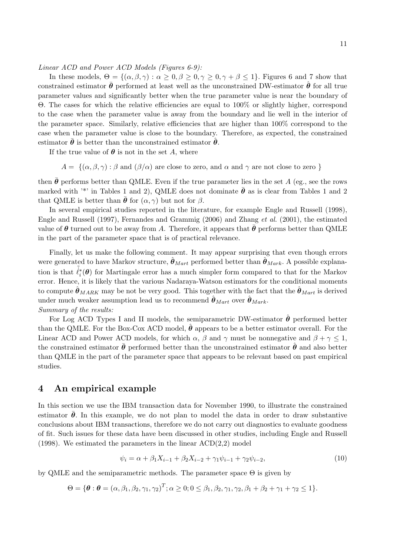Linear ACD and Power ACD Models (Figures 6-9):

In these models,  $\Theta = \{(\alpha, \beta, \gamma) : \alpha \geq 0, \beta \geq 0, \gamma \geq 0, \gamma + \beta \leq 1\}$ . Figures 6 and 7 show that constrained estimator  $\theta$  performed at least well as the unconstrained DW-estimator  $\theta$  for all true parameter values and significantly better when the true parameter value is near the boundary of Θ. The cases for which the relative efficiencies are equal to 100% or slightly higher, correspond to the case when the parameter value is away from the boundary and lie well in the interior of the parameter space. Similarly, relative efficiencies that are higher than 100% correspond to the case when the parameter value is close to the boundary. Therefore, as expected, the constrained estimator  $\bar{\theta}$  is better than the unconstrained estimator  $\hat{\theta}$ .

If the true value of  $\theta$  is not in the set A, where

 $A = \{(\alpha, \beta, \gamma) : \beta \text{ and } (\beta/\alpha) \text{ are close to zero, and } \alpha \text{ and } \gamma \text{ are not close to zero }\}\$ 

then  $\bar{\theta}$  performs better than QMLE. Even if the true parameter lies in the set A (eg., see the rows marked with <sup>\*\*</sup> in Tables 1 and 2), QMLE does not dominate  $\bar{\theta}$  as is clear from Tables 1 and 2 that QMLE is better than  $\bar{\theta}$  for  $(\alpha, \gamma)$  but not for  $\beta$ .

In several empirical studies reported in the literature, for example Engle and Russell (1998), Engle and Russell (1997), Fernandes and Grammig (2006) and Zhang et al. (2001), the estimated value of  $\theta$  turned out to be away from A. Therefore, it appears that  $\bar{\theta}$  performs better than QMLE in the part of the parameter space that is of practical relevance.

Finally, let us make the following comment. It may appear surprising that even though errors were generated to have Markov structure,  $\hat{\theta}_{Mart}$  performed better than  $\hat{\theta}_{Mark}$ . A possible explanation is that  $\tilde{\ell}_i^*(\theta)$  for Martingale error has a much simpler form compared to that for the Markov error. Hence, it is likely that the various Nadaraya-Watson estimators for the conditional moments to compute  $\hat{\theta}_{MARK}$  may be not be very good. This together with the fact that the  $\hat{\theta}_{Mart}$  is derived under much weaker assumption lead us to recommend  $\hat{\theta}_{Mart}$  over  $\hat{\theta}_{Mark}$ . Summary of the results:

For Log ACD Types I and II models, the semiparametric DW-estimator  $\hat{\theta}$  performed better than the QMLE. For the Box-Cox ACD model,  $\hat{\theta}$  appears to be a better estimator overall. For the Linear ACD and Power ACD models, for which  $\alpha$ ,  $\beta$  and  $\gamma$  must be nonnegative and  $\beta + \gamma \leq 1$ , the constrained estimator  $\bar{\theta}$  performed better than the unconstrained estimator  $\hat{\theta}$  and also better than QMLE in the part of the parameter space that appears to be relevant based on past empirical studies.

### 4 An empirical example

In this section we use the IBM transaction data for November 1990, to illustrate the constrained estimator  $\bar{\theta}$ . In this example, we do not plan to model the data in order to draw substantive conclusions about IBM transactions, therefore we do not carry out diagnostics to evaluate goodness of fit. Such issues for these data have been discussed in other studies, including Engle and Russell (1998). We estimated the parameters in the linear  $\text{ACD}(2,2)$  model

$$
\psi_i = \alpha + \beta_1 X_{i-1} + \beta_2 X_{i-2} + \gamma_1 \psi_{i-1} + \gamma_2 \psi_{i-2},\tag{10}
$$

by QMLE and the semiparametric methods. The parameter space  $\Theta$  is given by

$$
\Theta = \{ \boldsymbol{\theta} : \boldsymbol{\theta} = (\alpha, \beta_1, \beta_2, \gamma_1, \gamma_2)^T; \alpha \geq 0; 0 \leq \beta_1, \beta_2, \gamma_1, \gamma_2, \beta_1 + \beta_2 + \gamma_1 + \gamma_2 \leq 1 \}.
$$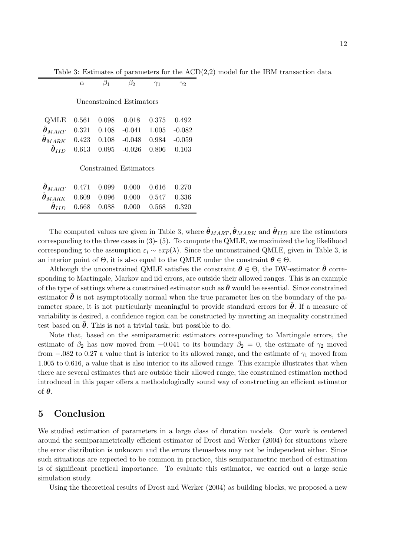|  |  |  |  |  |  |  |  |  |  |  |  |  |  | Table 3: Estimates of parameters for the $ACD(2,2)$ model for the IBM transaction data |  |
|--|--|--|--|--|--|--|--|--|--|--|--|--|--|----------------------------------------------------------------------------------------|--|
|--|--|--|--|--|--|--|--|--|--|--|--|--|--|----------------------------------------------------------------------------------------|--|

|                                             | $\alpha$ |       | $\beta_2$                | $\gamma_1$ |          |
|---------------------------------------------|----------|-------|--------------------------|------------|----------|
|                                             |          |       | Unconstrained Estimators |            |          |
| QMLE                                        | 0.561    | 0.098 | 0.018                    | 0.375      | 0.492    |
| $\hat{\boldsymbol{\theta}}_{MART}$          | 0.321    | 0.108 | $-0.041$                 | 1.005      | $-0.082$ |
| $\hat{\boldsymbol{\theta}}_{MARK}$          | 0.423    | 0.108 | $-0.048$                 | 0.984      | $-0.059$ |
| $\hat{\boldsymbol{\theta}}_{IID}$           | 0.613    | 0.095 | $-0.026$                 | 0.806      | 0.103    |
|                                             |          |       | Constrained Estimators   |            |          |
| $\hat{\boldsymbol{\theta}}_{\textit{MART}}$ | 0.471    | 0.099 | 0.000                    | 0.616      | 0.270    |

| $\sigma_{MART}$ 0.411 0.099 0.000 0.010 0.210 |  |                                                     |  |
|-----------------------------------------------|--|-----------------------------------------------------|--|
| $\theta_{MARK}$ 0.609 0.096 0.000 0.547 0.336 |  |                                                     |  |
|                                               |  | $\ddot{\theta}_{IID}$ 0.668 0.088 0.000 0.568 0.320 |  |
|                                               |  |                                                     |  |

The computed values are given in Table 3, where  $\hat{\theta}_{MART}$ ,  $\hat{\theta}_{MARK}$  and  $\hat{\theta}_{IID}$  are the estimators corresponding to the three cases in  $(3)$ - $(5)$ . To compute the QMLE, we maximized the log likelihood corresponding to the assumption  $\varepsilon_i \sim exp(\lambda)$ . Since the unconstrained QMLE, given in Table 3, is an interior point of  $\Theta$ , it is also equal to the QMLE under the constraint  $\theta \in \Theta$ .

Although the unconstrained QMLE satisfies the constraint  $\theta \in \Theta$ , the DW-estimator  $\theta$  corresponding to Martingale, Markov and iid errors, are outside their allowed ranges. This is an example of the type of settings where a constrained estimator such as  $\bar{\theta}$  would be essential. Since constrained estimator  $\theta$  is not asymptotically normal when the true parameter lies on the boundary of the parameter space, it is not particularly meaningful to provide standard errors for  $\theta$ . If a measure of variability is desired, a confidence region can be constructed by inverting an inequality constrained test based on  $\theta$ . This is not a trivial task, but possible to do.

Note that, based on the semiparametric estimators corresponding to Martingale errors, the estimate of  $\beta_2$  has now moved from -0.041 to its boundary  $\beta_2 = 0$ , the estimate of  $\gamma_2$  moved from  $-.082$  to 0.27 a value that is interior to its allowed range, and the estimate of  $\gamma_1$  moved from 1.005 to 0.616, a value that is also interior to its allowed range. This example illustrates that when there are several estimates that are outside their allowed range, the constrained estimation method introduced in this paper offers a methodologically sound way of constructing an efficient estimator of θ.

## 5 Conclusion

We studied estimation of parameters in a large class of duration models. Our work is centered around the semiparametrically efficient estimator of Drost and Werker (2004) for situations where the error distribution is unknown and the errors themselves may not be independent either. Since such situations are expected to be common in practice, this semiparametric method of estimation is of significant practical importance. To evaluate this estimator, we carried out a large scale simulation study.

Using the theoretical results of Drost and Werker (2004) as building blocks, we proposed a new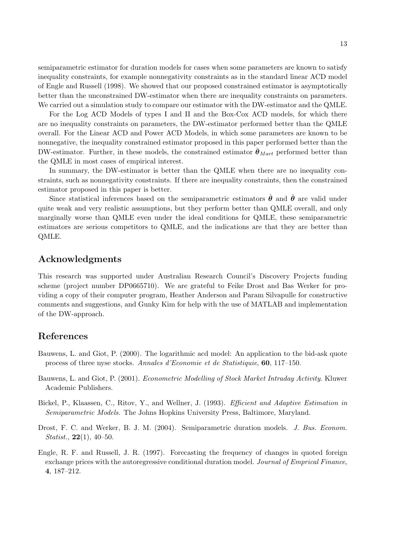semiparametric estimator for duration models for cases when some parameters are known to satisfy inequality constraints, for example nonnegativity constraints as in the standard linear ACD model of Engle and Russell (1998). We showed that our proposed constrained estimator is asymptotically better than the unconstrained DW-estimator when there are inequality constraints on parameters. We carried out a simulation study to compare our estimator with the DW-estimator and the QMLE.

For the Log ACD Models of types I and II and the Box-Cox ACD models, for which there are no inequality constraints on parameters, the DW-estimator performed better than the QMLE overall. For the Linear ACD and Power ACD Models, in which some parameters are known to be nonnegative, the inequality constrained estimator proposed in this paper performed better than the DW-estimator. Further, in these models, the constrained estimator  $\bar{\theta}_{Mart}$  performed better than the QMLE in most cases of empirical interest.

In summary, the DW-estimator is better than the QMLE when there are no inequality constraints, such as nonnegativity constraints. If there are inequality constraints, then the constrained estimator proposed in this paper is better.

Since statistical inferences based on the semiparametric estimators  $\hat{\theta}$  and  $\bar{\theta}$  are valid under quite weak and very realistic assumptions, but they perform better than QMLE overall, and only marginally worse than QMLE even under the ideal conditions for QMLE, these semiparametric estimators are serious competitors to QMLE, and the indications are that they are better than QMLE.

# Acknowledgments

This research was supported under Australian Research Council's Discovery Projects funding scheme (project number DP0665710). We are grateful to Feike Drost and Bas Werker for providing a copy of their computer program, Heather Anderson and Param Silvapulle for constructive comments and suggestions, and Gunky Kim for help with the use of MATLAB and implementation of the DW-approach.

## References

- Bauwens, L. and Giot, P. (2000). The logarithmic acd model: An application to the bid-ask quote process of three nyse stocks. Annales d'Economie et de Statistiquie, 60, 117–150.
- Bauwens, L. and Giot, P. (2001). Econometric Modelling of Stock Market Intraday Activity. Kluwer Academic Publishers.
- Bickel, P., Klaassen, C., Ritov, Y., and Wellner, J. (1993). Efficient and Adaptive Estimation in Semiparametric Models. The Johns Hopkins University Press, Baltimore, Maryland.
- Drost, F. C. and Werker, B. J. M. (2004). Semiparametric duration models. J. Bus. Econom. *Statist.*, **22**(1), 40–50.
- Engle, R. F. and Russell, J. R. (1997). Forecasting the frequency of changes in quoted foreign exchange prices with the autoregressive conditional duration model. Journal of Emprical Finance, 4, 187–212.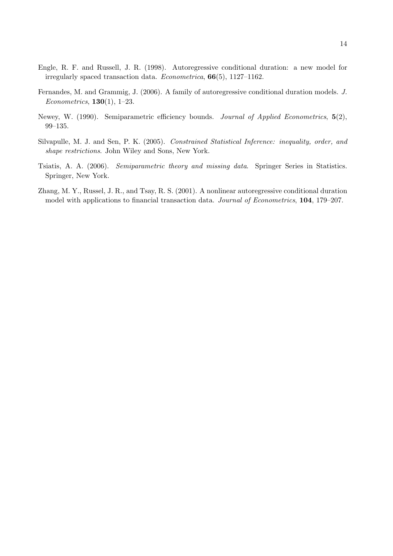- Engle, R. F. and Russell, J. R. (1998). Autoregressive conditional duration: a new model for irregularly spaced transaction data. Econometrica, 66(5), 1127–1162.
- Fernandes, M. and Grammig, J. (2006). A family of autoregressive conditional duration models. J. Econometrics,  $130(1)$ , 1–23.
- Newey, W. (1990). Semiparametric efficiency bounds. Journal of Applied Econometrics,  $5(2)$ , 99–135.
- Silvapulle, M. J. and Sen, P. K. (2005). Constrained Statistical Inference: inequality, order, and shape restrictions. John Wiley and Sons, New York.
- Tsiatis, A. A. (2006). Semiparametric theory and missing data. Springer Series in Statistics. Springer, New York.
- Zhang, M. Y., Russel, J. R., and Tsay, R. S. (2001). A nonlinear autoregressive conditional duration model with applications to financial transaction data. Journal of Econometrics, 104, 179–207.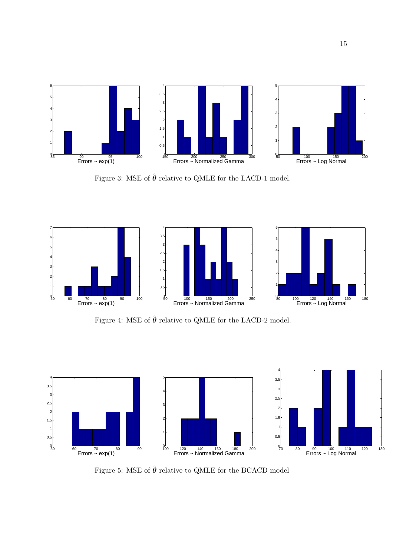

Figure 3: MSE of  $\hat{\theta}$  relative to QMLE for the LACD-1 model.



Figure 4: MSE of  $\hat{\pmb{\theta}}$  relative to QMLE for the LACD-2 model.



Figure 5: MSE of  $\hat{\pmb{\theta}}$  relative to QMLE for the BCACD model